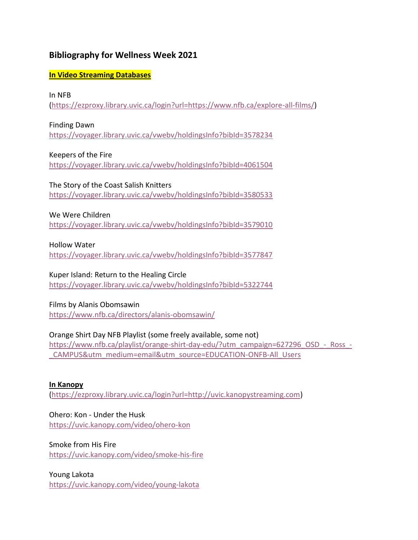# **Bibliography for Wellness Week 2021**

### **In Video Streaming Databases**

#### In NFB

[\(https://ezproxy.library.uvic.ca/login?url=https://www.nfb.ca/explore-all-films/\)](https://ezproxy.library.uvic.ca/login?url=https://www.nfb.ca/explore-all-films/)

#### Finding Dawn

<https://voyager.library.uvic.ca/vwebv/holdingsInfo?bibId=3578234>

#### Keepers of the Fire

<https://voyager.library.uvic.ca/vwebv/holdingsInfo?bibId=4061504>

# The Story of the Coast Salish Knitters

<https://voyager.library.uvic.ca/vwebv/holdingsInfo?bibId=3580533>

#### We Were Children

<https://voyager.library.uvic.ca/vwebv/holdingsInfo?bibId=3579010>

#### Hollow Water

<https://voyager.library.uvic.ca/vwebv/holdingsInfo?bibId=3577847>

# Kuper Island: Return to the Healing Circle

<https://voyager.library.uvic.ca/vwebv/holdingsInfo?bibId=5322744>

#### Films by Alanis Obomsawin

<https://www.nfb.ca/directors/alanis-obomsawin/>

# Orange Shirt Day NFB Playlist (some freely available, some not)

[https://www.nfb.ca/playlist/orange-shirt-day-edu/?utm\\_campaign=627296\\_OSD\\_-\\_Ross\\_-](https://www.nfb.ca/playlist/orange-shirt-day-edu/?utm_campaign=627296_OSD_-_Ross_-_CAMPUS&utm_medium=email&utm_source=EDUCATION-ONFB-All_Users) [\\_CAMPUS&utm\\_medium=email&utm\\_source=EDUCATION-ONFB-All\\_Users](https://www.nfb.ca/playlist/orange-shirt-day-edu/?utm_campaign=627296_OSD_-_Ross_-_CAMPUS&utm_medium=email&utm_source=EDUCATION-ONFB-All_Users)

# **In Kanopy**

[\(https://ezproxy.library.uvic.ca/login?url=http://uvic.kanopystreaming.com\)](https://ezproxy.library.uvic.ca/login?url=http://uvic.kanopystreaming.com)

# Ohero: Kon - Under the Husk

<https://uvic.kanopy.com/video/ohero-kon>

#### Smoke from His Fire

<https://uvic.kanopy.com/video/smoke-his-fire>

#### Young Lakota

<https://uvic.kanopy.com/video/young-lakota>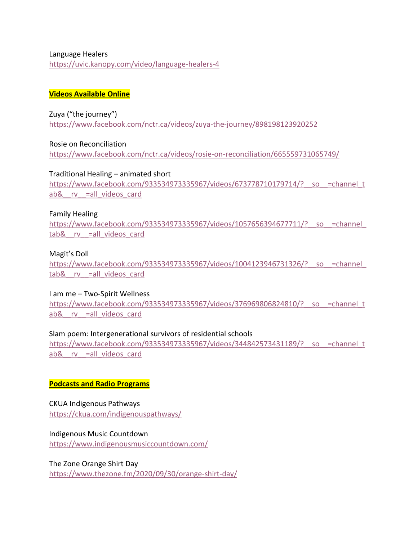#### Language Healers <https://uvic.kanopy.com/video/language-healers-4>

#### **Videos Available Online**

## Zuya ("the journey")

<https://www.facebook.com/nctr.ca/videos/zuya-the-journey/898198123920252>

Rosie on Reconciliation <https://www.facebook.com/nctr.ca/videos/rosie-on-reconciliation/665559731065749/>

Traditional Healing – animated short [https://www.facebook.com/933534973335967/videos/673778710179714/?\\_\\_so\\_\\_=channel\\_t](https://www.facebook.com/933534973335967/videos/673778710179714/?__so__=channel_tab&__rv__=all_videos_card) ab& rv =all videos card

#### Family Healing

https://www.facebook.com/933534973335967/videos/1057656394677711/? so =channel tab& rv =all videos card

## Magit's Doll

https://www.facebook.com/933534973335967/videos/1004123946731326/? so =channel tab& rv =all videos card

#### I am me – Two-Spirit Wellness

https://www.facebook.com/933534973335967/videos/376969806824810/? so =channel\_t ab& rv =all videos card

# Slam poem: Intergenerational survivors of residential schools

[https://www.facebook.com/933534973335967/videos/344842573431189/?\\_\\_so\\_\\_=channel\\_t](https://www.facebook.com/933534973335967/videos/344842573431189/?__so__=channel_tab&__rv__=all_videos_card) ab& rv =all videos card

# **Podcasts and Radio Programs**

# CKUA Indigenous Pathways <https://ckua.com/indigenouspathways/>

# Indigenous Music Countdown

<https://www.indigenousmusiccountdown.com/>

# The Zone Orange Shirt Day <https://www.thezone.fm/2020/09/30/orange-shirt-day/>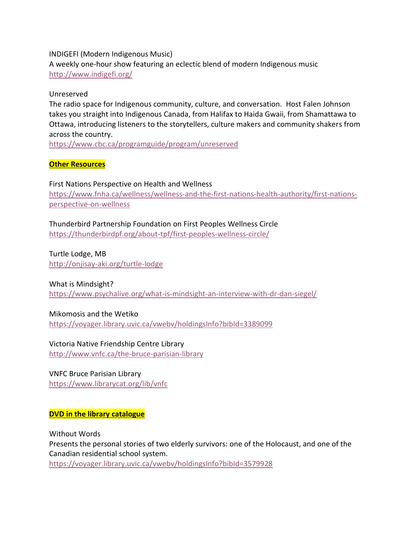#### INDIGEFI (Modern Indigenous Music)

A weekly one-hour show featuring an eclectic blend of modern Indigenous music <http://www.indigefi.org/>

#### Unreserved

The radio space for Indigenous community, culture, and conversation. Host Falen Johnson takes you straight into Indigenous Canada, from Halifax to Haida Gwaii, from Shamattawa to Ottawa, introducing listeners to the storytellers, culture makers and community shakers from across the country.

<https://www.cbc.ca/programguide/program/unreserved>

## **Other Resources**

#### First Nations Perspective on Health and Wellness

[https://www.fnha.ca/wellness/wellness-and-the-first-nations-health-authority/first-nations](https://www.fnha.ca/wellness/wellness-and-the-first-nations-health-authority/first-nations-perspective-on-wellness)[perspective-on-wellness](https://www.fnha.ca/wellness/wellness-and-the-first-nations-health-authority/first-nations-perspective-on-wellness)

# Thunderbird Partnership Foundation on First Peoples Wellness Circle

<https://thunderbirdpf.org/about-tpf/first-peoples-wellness-circle/>

Turtle Lodge, MB <http://onjisay-aki.org/turtle-lodge>

#### What is Mindsight?

<https://www.psychalive.org/what-is-mindsight-an-interview-with-dr-dan-siegel/>

#### Mikomosis and the Wetiko

<https://voyager.library.uvic.ca/vwebv/holdingsInfo?bibId=3389099>

#### Victoria Native Friendship Centre Library

<http://www.vnfc.ca/the-bruce-parisian-library>

#### VNFC Bruce Parisian Library

<https://www.librarycat.org/lib/vnfc>

#### **DVD in the library catalogue**

Without Words Presents the personal stories of two elderly survivors: one of the Holocaust, and one of the Canadian residential school system. <https://voyager.library.uvic.ca/vwebv/holdingsInfo?bibId=3579928>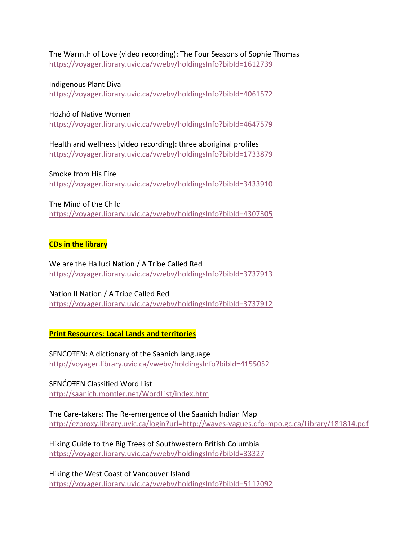The Warmth of Love (video recording): The Four Seasons of Sophie Thomas <https://voyager.library.uvic.ca/vwebv/holdingsInfo?bibId=1612739>

Indigenous Plant Diva <https://voyager.library.uvic.ca/vwebv/holdingsInfo?bibId=4061572>

Hózhó of Native Women

<https://voyager.library.uvic.ca/vwebv/holdingsInfo?bibId=4647579>

Health and wellness [video recording]: three aboriginal profiles <https://voyager.library.uvic.ca/vwebv/holdingsInfo?bibId=1733879>

Smoke from His Fire <https://voyager.library.uvic.ca/vwebv/holdingsInfo?bibId=3433910>

The Mind of the Child

<https://voyager.library.uvic.ca/vwebv/holdingsInfo?bibId=4307305>

## **CDs in the library**

We are the Halluci Nation / A Tribe Called Red <https://voyager.library.uvic.ca/vwebv/holdingsInfo?bibId=3737913>

Nation II Nation / A Tribe Called Red <https://voyager.library.uvic.ca/vwebv/holdingsInfo?bibId=3737912>

**Print Resources: Local Lands and territories**

SENĆOŦEN: A dictionary of the Saanich language <http://voyager.library.uvic.ca/vwebv/holdingsInfo?bibId=4155052>

SENĆOŦEN Classified Word List <http://saanich.montler.net/WordList/index.htm>

The Care-takers: The Re-emergence of the Saanich Indian Map <http://ezproxy.library.uvic.ca/login?url=http://waves-vagues.dfo-mpo.gc.ca/Library/181814.pdf>

Hiking Guide to the Big Trees of Southwestern British Columbia <https://voyager.library.uvic.ca/vwebv/holdingsInfo?bibId=33327>

Hiking the West Coast of Vancouver Island <https://voyager.library.uvic.ca/vwebv/holdingsInfo?bibId=5112092>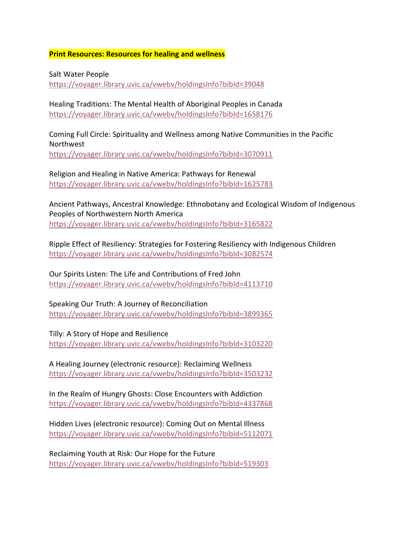**Print Resources: Resources for healing and wellness**

Salt Water People <https://voyager.library.uvic.ca/vwebv/holdingsInfo?bibId=39048>

Healing Traditions: The Mental Health of Aboriginal Peoples in Canada <https://voyager.library.uvic.ca/vwebv/holdingsInfo?bibId=1658176>

Coming Full Circle: Spirituality and Wellness among Native Communities in the Pacific Northwest <https://voyager.library.uvic.ca/vwebv/holdingsInfo?bibId=3070911>

Religion and Healing in Native America: Pathways for Renewal <https://voyager.library.uvic.ca/vwebv/holdingsInfo?bibId=1625783>

Ancient Pathways, Ancestral Knowledge: Ethnobotany and Ecological Wisdom of Indigenous Peoples of Northwestern North America <https://voyager.library.uvic.ca/vwebv/holdingsInfo?bibId=3165822>

Ripple Effect of Resiliency: Strategies for Fostering Resiliency with Indigenous Children <https://voyager.library.uvic.ca/vwebv/holdingsInfo?bibId=3082574>

Our Spirits Listen: The Life and Contributions of Fred John <https://voyager.library.uvic.ca/vwebv/holdingsInfo?bibId=4113710>

Speaking Our Truth: A Journey of Reconciliation <https://voyager.library.uvic.ca/vwebv/holdingsInfo?bibId=3899365>

Tilly: A Story of Hope and Resilience <https://voyager.library.uvic.ca/vwebv/holdingsInfo?bibId=3103220>

A Healing Journey (electronic resource): Reclaiming Wellness <https://voyager.library.uvic.ca/vwebv/holdingsInfo?bibId=3503232>

In the Realm of Hungry Ghosts: Close Encounters with Addiction <https://voyager.library.uvic.ca/vwebv/holdingsInfo?bibId=4337868>

Hidden Lives (electronic resource): Coming Out on Mental Illness <https://voyager.library.uvic.ca/vwebv/holdingsInfo?bibId=5112071>

Reclaiming Youth at Risk: Our Hope for the Future <https://voyager.library.uvic.ca/vwebv/holdingsInfo?bibId=519303>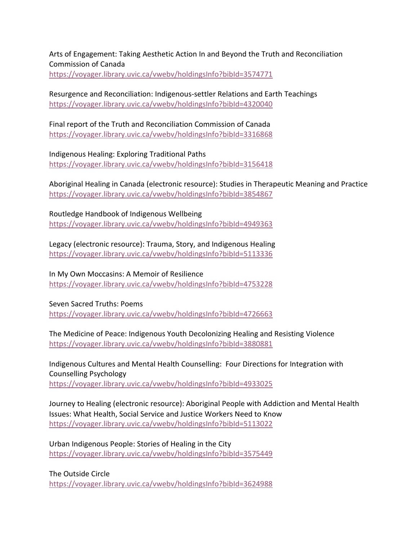Arts of Engagement: Taking Aesthetic Action In and Beyond the Truth and Reconciliation Commission of Canada <https://voyager.library.uvic.ca/vwebv/holdingsInfo?bibId=3574771>

Resurgence and Reconciliation: Indigenous-settler Relations and Earth Teachings <https://voyager.library.uvic.ca/vwebv/holdingsInfo?bibId=4320040>

Final report of the Truth and Reconciliation Commission of Canada <https://voyager.library.uvic.ca/vwebv/holdingsInfo?bibId=3316868>

Indigenous Healing: Exploring Traditional Paths <https://voyager.library.uvic.ca/vwebv/holdingsInfo?bibId=3156418>

Aboriginal Healing in Canada (electronic resource): Studies in Therapeutic Meaning and Practice <https://voyager.library.uvic.ca/vwebv/holdingsInfo?bibId=3854867>

Routledge Handbook of Indigenous Wellbeing <https://voyager.library.uvic.ca/vwebv/holdingsInfo?bibId=4949363>

Legacy (electronic resource): Trauma, Story, and Indigenous Healing <https://voyager.library.uvic.ca/vwebv/holdingsInfo?bibId=5113336>

In My Own Moccasins: A Memoir of Resilience <https://voyager.library.uvic.ca/vwebv/holdingsInfo?bibId=4753228>

Seven Sacred Truths: Poems <https://voyager.library.uvic.ca/vwebv/holdingsInfo?bibId=4726663>

The Medicine of Peace: Indigenous Youth Decolonizing Healing and Resisting Violence <https://voyager.library.uvic.ca/vwebv/holdingsInfo?bibId=3880881>

Indigenous Cultures and Mental Health Counselling: Four Directions for Integration with Counselling Psychology <https://voyager.library.uvic.ca/vwebv/holdingsInfo?bibId=4933025>

Journey to Healing (electronic resource): Aboriginal People with Addiction and Mental Health Issues: What Health, Social Service and Justice Workers Need to Know <https://voyager.library.uvic.ca/vwebv/holdingsInfo?bibId=5113022>

Urban Indigenous People: Stories of Healing in the City <https://voyager.library.uvic.ca/vwebv/holdingsInfo?bibId=3575449>

The Outside Circle

<https://voyager.library.uvic.ca/vwebv/holdingsInfo?bibId=3624988>